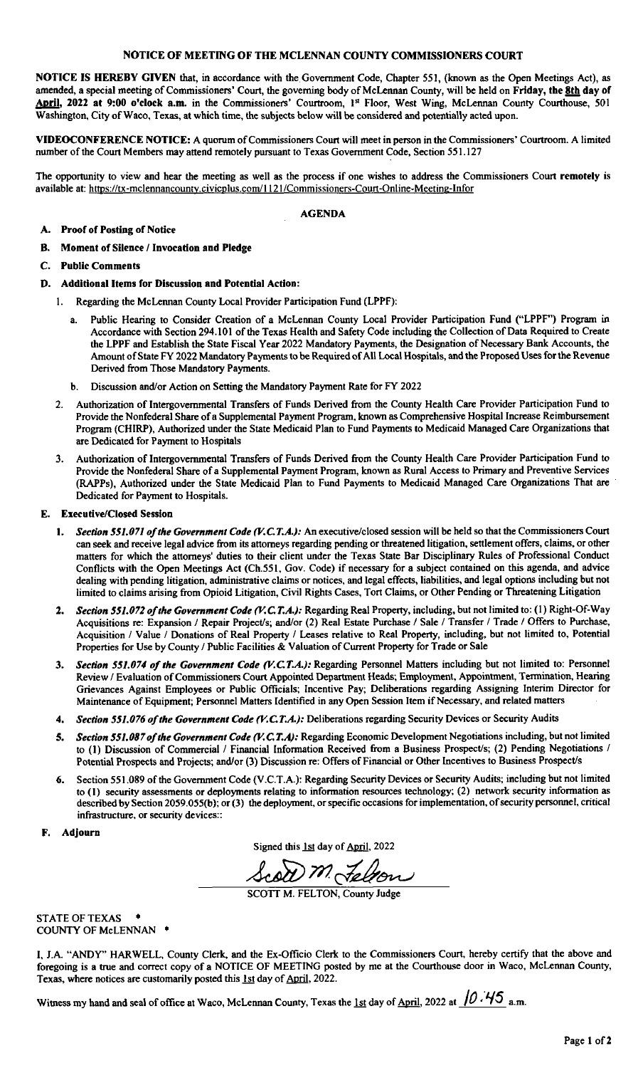#### NOTICE OF MEETING OF THE MCLENNAN COUNTY COMMISSIONERS COURT

NOTICE IS HEREBY GIVEN that, in accordance with the Government Code, Chapter 551, ( known as the Open Meetings Act), as amended, a special meeting of Commissioners' Court, the governing body of McLennan County, will be held on Friday, the 8th day of April, 2022 at 9:00 o'clock a.m. in the Commissioners' Courtroom, 1<sup>st</sup> Floor, West Wing, McLennan County Courthouse, 501 Washington, City of Waco, Texas, at which time, the subjects below will be considered and potentially acted upon.

VIDEOCONFERENCE NOTICE: A quorum of Commissioners Court will meet in person in the Commissioners' Courtroom. A limited number of the Court Members may attend remotely pursuant to Texas Government Code, Section 551. 127

The opportunity to view and hear the meeting as well as the process if one wishes to address the Commissioners Court remotely is available at: https://tx-mclennancounty.civicplus.com/1121/Commissioners-Court-Online-Meeting-Infor

AGENDA

#### A. Proof of Posting of Notice

- B. Moment of Silence/ Invocation and Pledge
- C. Public Comments
- D. Additional Items for Discussion and Potential Action:
	- 1. Regarding the McLennan County Local Provider Participation Fund( LPPF):
		- a. Public Hearing to Consider Creation of a McLennan County Local Provider Participation Fund ("LPPF") Program in Accordance with Section 294. 101 of the Texas Health and Safety Code including the Collection of Data Required to Create the LPPF and Establish the State Fiscal Year 2022 Mandatory Payments, the Designation of Necessary Bank Accounts, the Amount of State FY 2022 Mandatory Payments to be Required of All Local Hospitals, and the Proposed Uses for the Revenue Derived from Those Mandatory Payments.
		- b. Discussion and/or Action on Setting the Mandatory Payment Rate for FY 2022
	- 2. Authorization of Intergovernmental Transfers of Funds Derived from the County Health Care Provider Participation Fund to Provide the Nonfederal Share of a Supplemental Payment Program, known as Comprehensive Hospital Increase Reimbursement Program( CHIRP), Authorized under the State Medicaid Plan to Fund Payments to Medicaid Managed Care Organizations that are Dedicated for Payment to Hospitals
	- 3. Authorization of Intergovernmental Transfers of Funds Derived from the County Health Care Provider Participation Fund to Provide the Nonfederal Share of a Supplemental Payment Program, known as Rural Access to Primary and Preventive Services RAPPs), Authorized under the State Medicaid Plan to Fund Payments to Medicaid Managed Care Organizations That are Dedicated for Payment to Hospitals.

#### E. Executive/Closed Session

- 1. Section 551.071 of the Government Code (V.C.T.A.): An executive/closed session will be held so that the Commissioners Court can seek and receive legal advice from its attorneys regarding pending or threatened litigation, settlement offers, claims, or other matters for which the attorneys' duties to their client under the Texas State Bar Disciplinary Rules of Professional Conduct Conflicts with the Open Meetings Act (Ch.551, Gov. Code) if necessary for a subject contained on this agenda, and advice dealing with pending litigation, administrative claims or notices, and legal effects, liabilities, and legal options including but not limited to claims arising from Opioid Litigation, Civil Rights Cases, Tort Claims, or Other Pending or Threatening Litigation
- 2. Section 551.072 of the Government Code (V.C.T.A.): Regarding Real Property, including, but not limited to: (1) Right-Of-Way Acquisitions re: Expansion / Repair Project/s; and/or (2) Real Estate Purchase / Sale / Transfer / Trade / Offers to Purchase, Acquisition / Value / Donations of Real Property / Leases relative to Real Property, including, but not limited to, Potential Properties for Use by County / Public Facilities & Valuation of Current Property for Trade or Sale
- 3. Section 551.074 of the Government Code (V.C.T.A.): Regarding Personnel Matters including but not limited to: Personnel Review/ Evaluation of Commissioners Court Appointed Department Heads; Employment, Appointment, Termination, Hearing Grievances Against Employees or Public Officials; Incentive Pay; Deliberations regarding Assigning Interim Director for Maintenance of Equipment; Personnel Matters Identified in any Open Session Item if Necessary, and related matters
- 4. Section 551.076 of the Government Code (V.C.T.A.): Deliberations regarding Security Devices or Security Audits
- 5. Section 551.087 of the Government Code (V.C.T.A): Regarding Economic Development Negotiations including, but not limited to (1) Discussion of Commercial / Financial Information Received from a Business Prospect/s; (2) Pending Negotiations / Potential Prospects and Projects; and/or (3) Discussion re: Offers of Financial or Other Incentives to Business Prospect/s
- Section 551.089 of the Government Code (V.C.T.A.): Regarding Security Devices or Security Audits; including but not limited to (1) security assessments or deployments relating to information resources technology; (2) network security information as described by Section 2059.055(b); or (3) the deployment, or specific occasions for implementation, of security personnel, critical infrastructure, or security devices::
- F. Adjourn

Signed this 1st day of April, 2022

2-Cai)I m

SCOTT M. FELTON, County Judge

STATE OF TEXAS COUNTY OF McLENNAN •

I, J.A. " ANDY" HARWELL, County Clerk, and the Ex- Officio Clerk to the Commissioners Court, hereby certify that the above and foregoing is a true and correct copy of a NOTICE OF MEETING posted by me at the Courthouse door in Waco, McLennan County, Texas, where notices are customarily posted this 1st day of April, 2022.

Witness my hand and seal of office at Waco, McLennan County, Texas the 1st day of April, 2022 at  $/0.45$  a.m.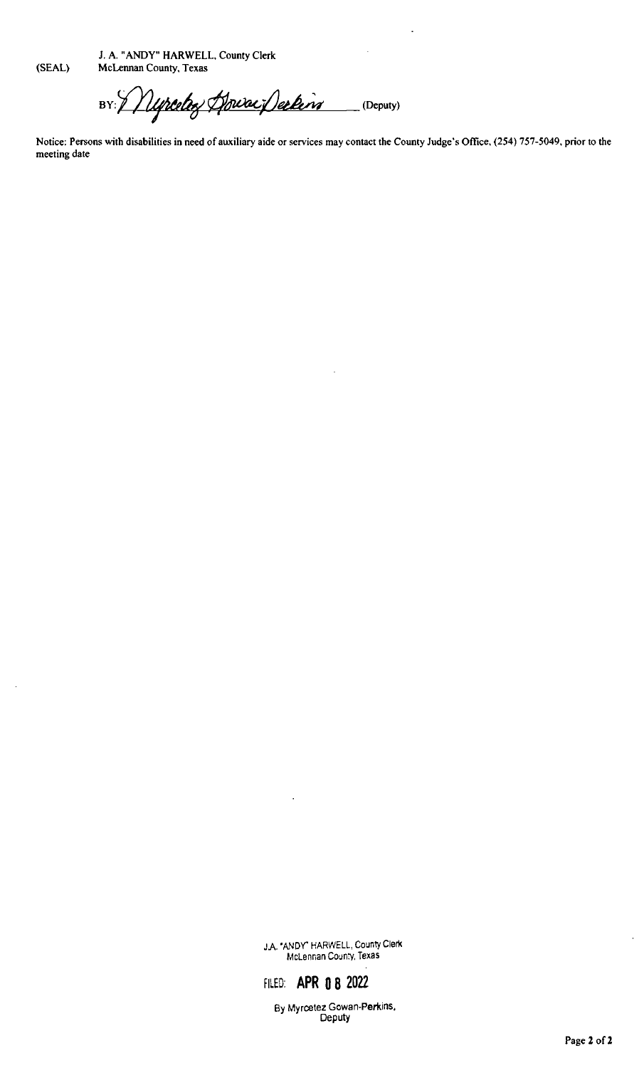J. A. " ANDY" HARWELL, County Clerk

SEAL) McLennan County, Texas

BY: Myrcelez Houra Declaro (Deputy)

Notice: Persons with disabilities in need of auxiliary aide or services may contact the County Judge's Office, (254) 757-5049, prior to the meeting date

> JA.' ANDY' HARWELL, County Clerk McLennan County, Texas

# FILED: APR 0 8 2022

By Myrcetez Gowan-Perkins, Deputy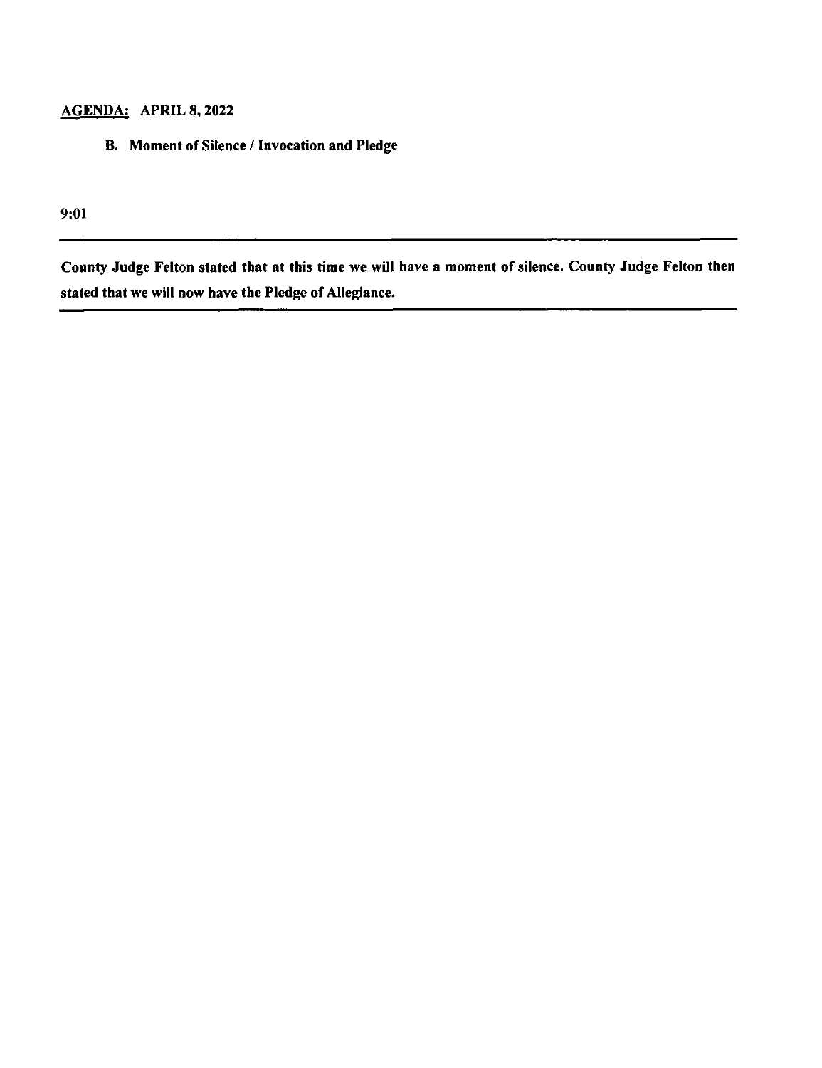### AGENDA: APRIL 8, 2022

B. Moment of Silence/ Invocation and Pledge

9:01

County Judge Felton stated that at this time we will have a moment of silence. County Judge Felton then stated that we will now have the Pledge of Allegiance.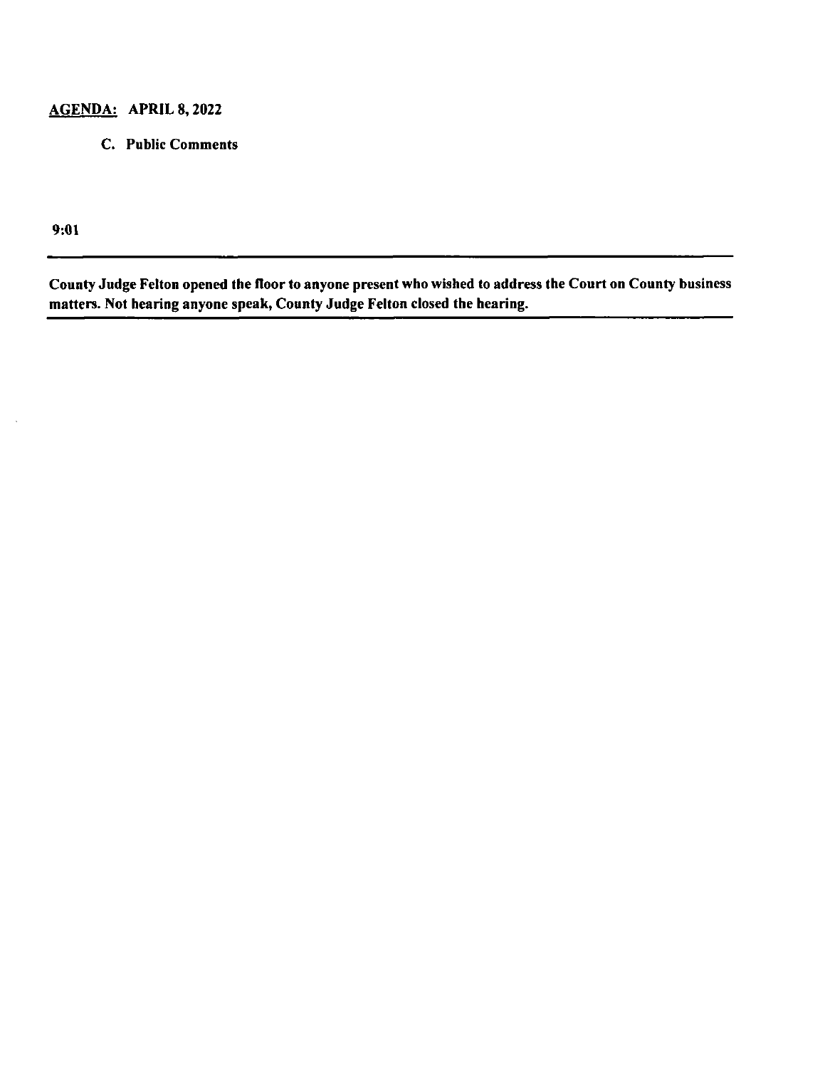#### AGENDA: APRIL 8, 2022

C. Public Comments

9: 01

County Judge Felton opened the floor to anyone present who wished to address the Court on County business matters. Not hearing anyone speak, County Judge Felton closed the hearing.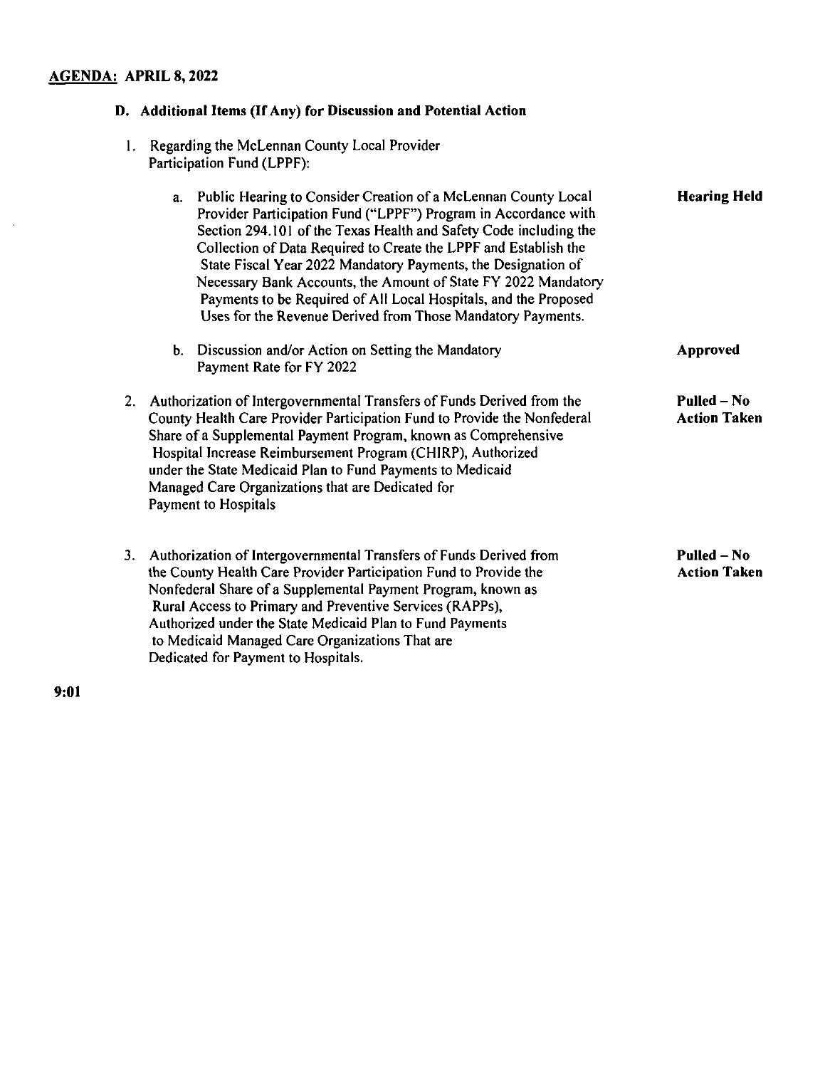#### AGENDA: APRIL 8, 2022

#### D. Additional Items (If Any) for Discussion and Potential Action I. Regarding the McLennan County Local Provider Participation Fund( LPPF): a. Public Hearing to Consider Creation of a McLennan County Local Provider Participation Fund ("LPPF") Program in Accordance with Section 294. 101 of the Texas Health and Safety Code including the Collection of Data Required to Create the LPPF and Establish the State Fiscal Year 2022 Mandatory Payments, the Designation of Necessary Bank Accounts, the Amount of State FY 2022 Mandatory Payments to be Required of All Local Hospitals, and the Proposed Uses for the Revenue Derived from Those Mandatory Payments. Hearing Held b. Discussion and/or Action on Setting the Mandatory **Approved** Payment Rate for FY 2022 2. Authorization of Intergovernmental Transfers of Funds Derived from the County Health Care Provider Participation Fund to Provide the Nonfederal Share of a Supplemental Payment Program, known as Comprehensive Hospital Increase Reimbursement Program (CHIRP), Authorized under the State Medicaid Plan to Fund Payments to Medicaid Managed Care Organizations that are Dedicated for Payment to Hospitals Pulled— No Action Taken 3. Authorization of Intergovernmental Transfers of Funds Derived from the County Health Care Provider Participation Fund to Provide the Nonfederal Share of a Supplemental Payment Program, known as Rural Access to Primary and Preventive Services( RAPPs), Authorized under the State Medicaid Plan to Fund Payments to Medicaid Managed Care Organizations That are Dedicated for Payment to Hospitals. Pulled— No Action Taken

9: 01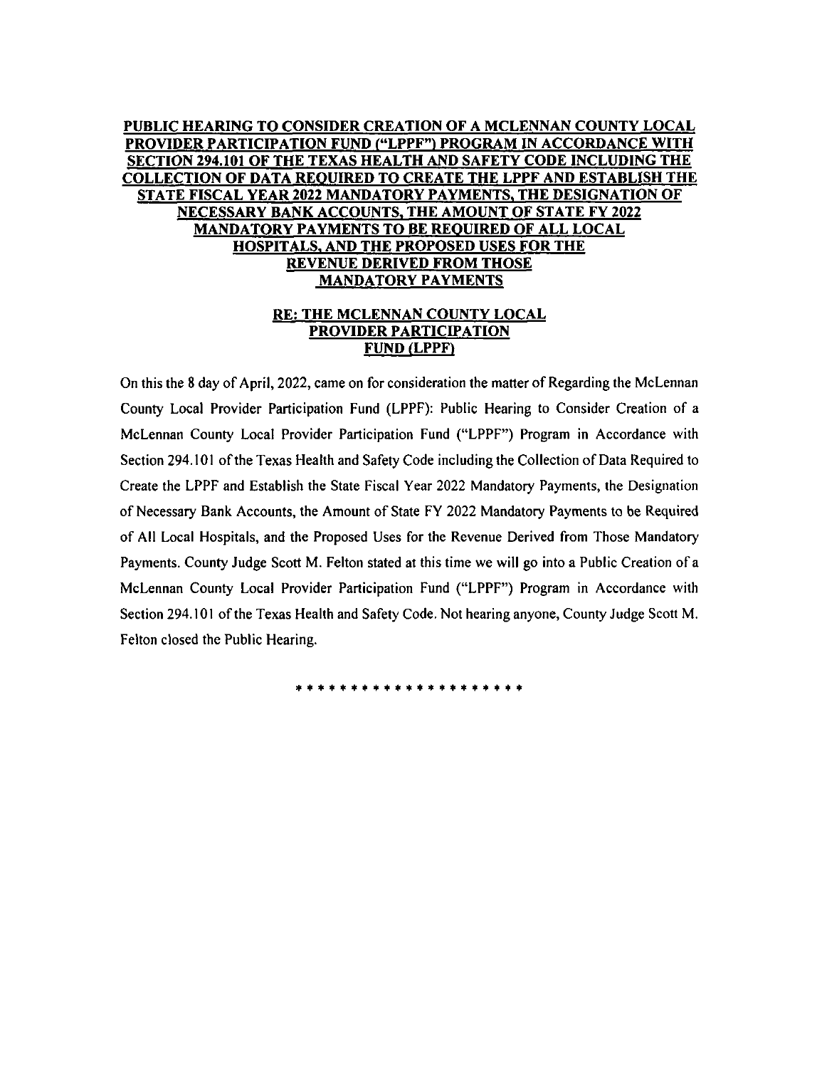#### PUBLIC HEARING TO CONSIDER CREATION OF A MCLENNAN COUNTY LOCAL PROVIDER PARTICIPATION FUND ("LPPF") PROGRAM IN ACCORDANCE WITH SECTION 294. 101 OF THE TEXAS HEALTH AND SAFETY CODE INCLUDING THE COLLECTION OF DATA REQUIRED TO CREATE THE LPPF AND ESTABLISH THE STATE FISCAL YEAR 2022 MANDATORY PAYMENTS, THE DESIGNATION OF NECESSARY BANK ACCOUNTS, THE AMOUNT OF STATE FY 2022 MANDATORY PAYMENTS TO BE REQUIRED OF ALL LOCAL HOSPITALS, AND THE PROPOSED USES FOR THE REVENUE DERIVED FROM THOSE MANDATORY PAYMENTS

#### RE: THE MCLENNAN COUNTY LOCAL PROVIDER PARTICIPATION **FUND (LPPF)**

On this the 8 day of April, 2022, came on for consideration the matter of Regarding the McLennan County Local Provider Participation Fund ( LPPF): Public Hearing to Consider Creation of a McLennan County Local Provider Participation Fund (" LPPF") Program in Accordance with Section 294. 101 of the Texas Health and Safety Code including the Collection of Data Required to Create the LPPF and Establish the State Fiscal Year 2022 Mandatory Payments, the Designation of Necessary Bank Accounts, the Amount of State FY 2022 Mandatory Payments to be Required of All Local Hospitals, and the Proposed Uses for the Revenue Derived from Those Mandatory Payments. County Judge Scott M. Felton stated at this time we will go into a Public Creation of a McLennan County Local Provider Participation Fund (" LPPF") Program in Accordance with Section 294. 101 of the Texas Health and Safety Code. Not hearing anyone, County Judge Scott M. Felton closed the Public Hearing.

\*\*\*\*\*\*\*\*\*\*\*\*\*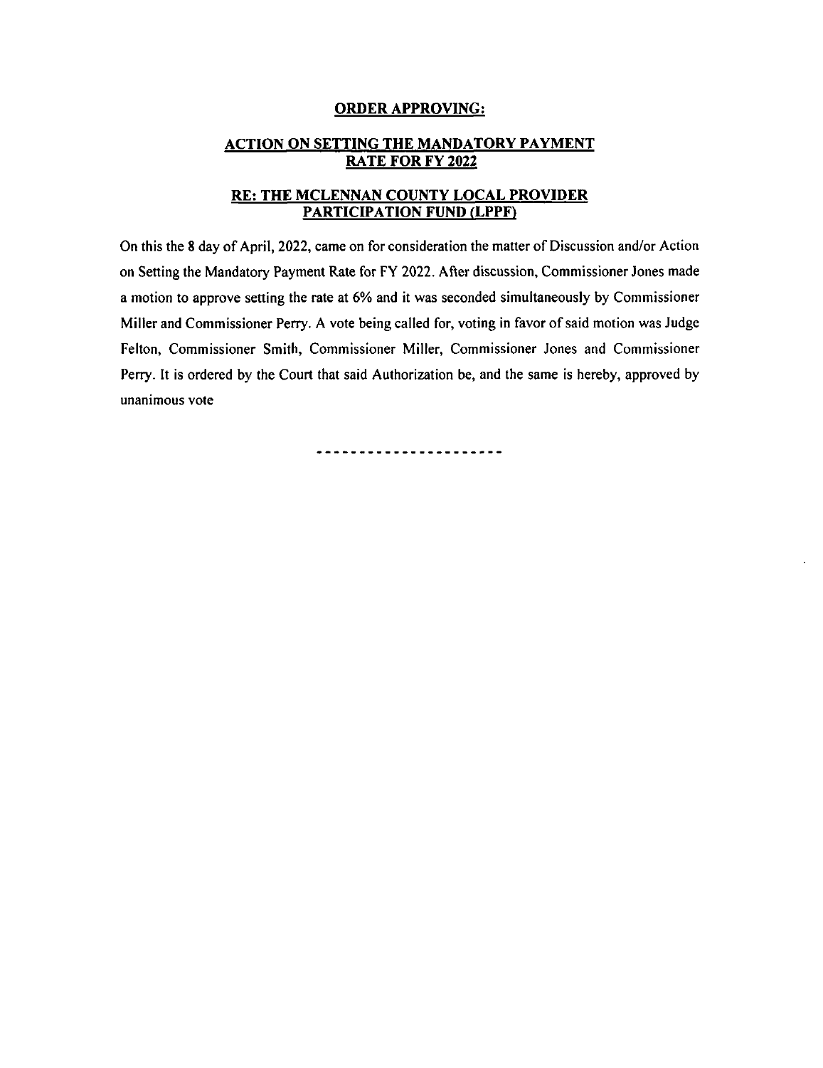#### ORDER APPROVING:

#### ACTION ON SETTING THE MANDATORY PAYMENT RATE FOR FY 2022

#### RE: THE MCLENNAN COUNTY LOCAL PROVIDER PARTICIPATION FUND (LPPF)

On this the 8 day of April, 2022, came on for consideration the matter of Discussion and/or Action on Setting the Mandatory Payment Rate for FY 2022. After discussion, Commissioner Jones made a motion to approve setting the rate at 6% and it was seconded simultaneously by Commissioner Miller and Commissioner Perry. A vote being called for, voting in favor of said motion was Judge Felton, Commissioner Smith, Commissioner Miller, Commissioner Jones and Commissioner Perry. It is ordered by the Court that said Authorization be, and the same is hereby, approved by unanimous vote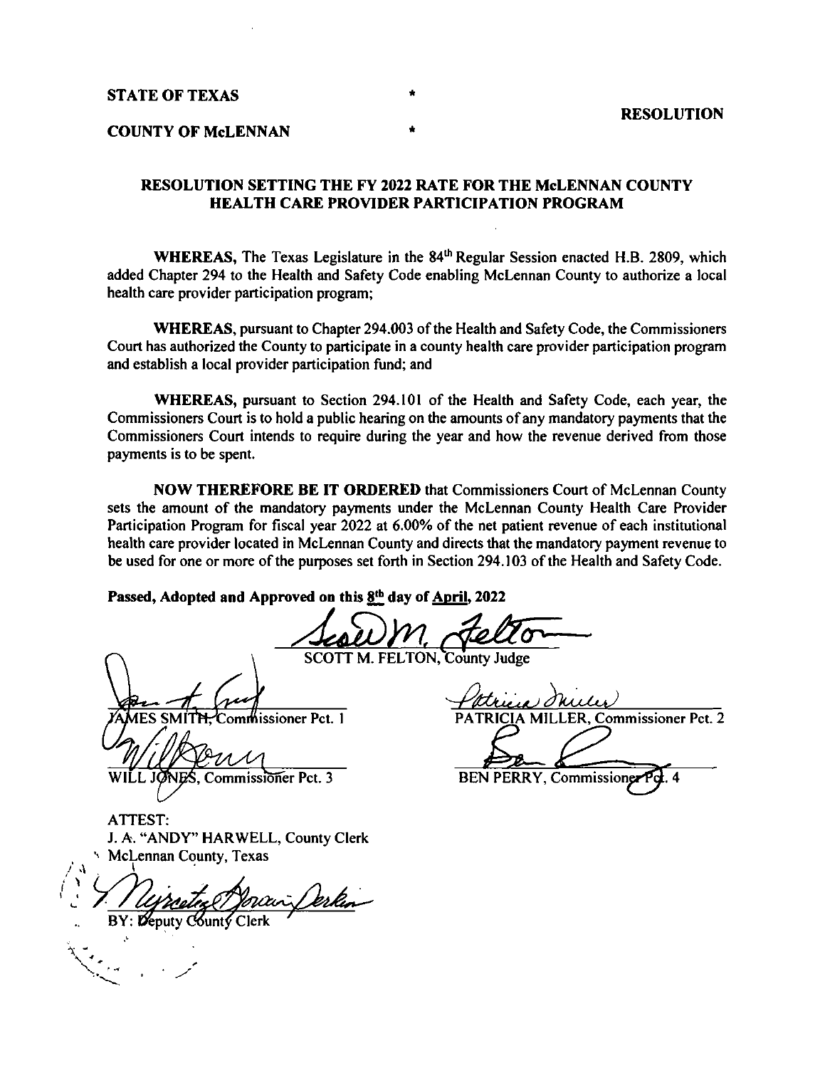STATE OF TEXAS

#### COUNTY OF McLENNAN

#### RESOLUTION SETTING THE FY 2022 RATE FOR THE McLENNAN COUNTY HEALTH CARE PROVIDER PARTICIPATION PROGRAM

WHEREAS, The Texas Legislature in the  $84<sup>th</sup>$  Regular Session enacted H.B. 2809, which added Chapter 294 to the Health and Safety Code enabling McLennan County to authorize a local health care provider participation program;

WHEREAS, pursuant to Chapter 294. 003 of the Health and Safety Code, the Commissioners Court has authorized the County to participate in a county health care provider participation program and establish a local provider participation fund; and

WHEREAS, pursuant to Section 294. 101 of the Health and Safety Code, each year, the Commissioners Court is to hold a public hearing on the amounts of any mandatory payments that the Commissioners Court intends to require during the year and how the revenue derived from those payments is to be spent.

NOW THEREFORE BE IT ORDERED that Commissioners Court of McLennan County sets the amount of the mandatory payments under the McLennan County Health Care Provider Participation Program for fiscal year 2022 at 6.00% of the net patient revenue of each institutional health care provider located in McLennan County and directs that the mandatory payment revenue to be used for one or more of the purposes set forth in Section 294. 103 of the Health and Safety Code.

Passed, Adopted and Approved on this  $8<sup>th</sup>$  day of April, 2022

SCOTT M. FELTON, County Judge

 $\vee$ ES SMITH, Commissioner Pct. 1 PATRICIA MILLER, Commissioner Pct. 2

VAMES SMITH, Commissioner Pct. 1<br>
WILL JONES, Commissioner Pct. 3 BEN PERRY, Commissioner Pct. 4

ATTEST: J. A. " ANDY" HARWELL, County Clerk

 $\overrightarrow{A}$  McLennan County, Texas C6unt <sup>C</sup>

 $\ddot{\phantom{1}}$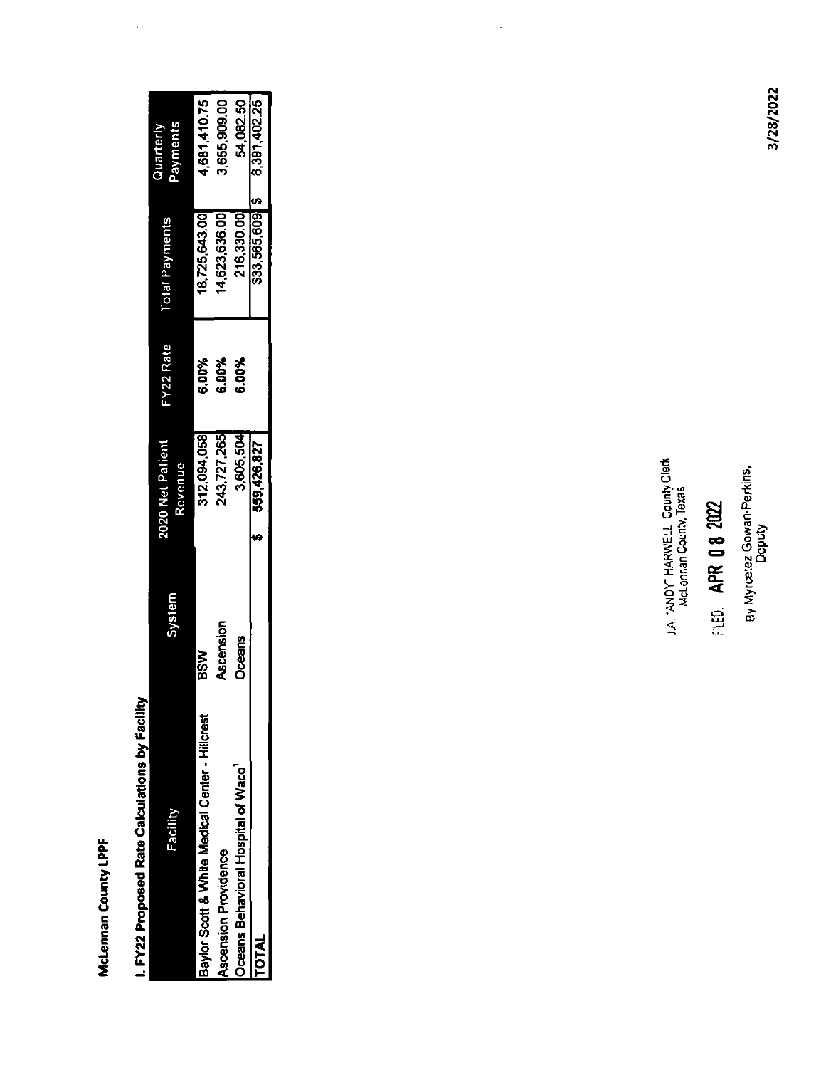McLennan County LPPF

 $\ddot{\phantom{0}}$ 

| McLennan County LPPF                            |            |                                                             |           |                       |                           |
|-------------------------------------------------|------------|-------------------------------------------------------------|-----------|-----------------------|---------------------------|
| I. FY22 Proposed Rate Calculations by Facility  |            |                                                             |           |                       |                           |
| Facility                                        | System     | 2020 Net Patient<br>Revenue                                 | FY22 Rate | <b>Total Payments</b> | Payments<br>Quarterly     |
| Baylor Scott & White Medical Center - Hillcrest | <b>MSB</b> | 312,094,058                                                 | 6.00%     | 18725643.00           | 4,681,410.75              |
| Ascension Providence                            | Ascension  | 243,727,265                                                 | 6.00%     | 14,623,636.00         | 3,655,909.00              |
| Oceans Behavioral Hospital of Waco              | Oceans     | 3,605,504                                                   | 6.00%     |                       |                           |
| <b>TOTAL</b>                                    |            | 559,426,827<br>⊷                                            |           | ∤⇔<br>216,330.00      | 54,082.50<br>8,391,402.25 |
|                                                 |            |                                                             |           |                       |                           |
|                                                 |            |                                                             |           |                       |                           |
|                                                 |            |                                                             |           |                       |                           |
|                                                 |            |                                                             |           |                       |                           |
|                                                 |            |                                                             |           |                       |                           |
|                                                 |            |                                                             |           |                       |                           |
|                                                 |            |                                                             |           |                       |                           |
|                                                 |            |                                                             |           |                       |                           |
|                                                 |            |                                                             |           |                       |                           |
|                                                 |            |                                                             |           |                       |                           |
|                                                 |            |                                                             |           |                       |                           |
|                                                 |            |                                                             |           |                       |                           |
|                                                 |            |                                                             |           |                       |                           |
|                                                 |            |                                                             |           |                       |                           |
|                                                 |            |                                                             |           |                       |                           |
|                                                 |            |                                                             |           |                       |                           |
|                                                 |            |                                                             |           |                       |                           |
|                                                 |            | J.A. "ANDY" HARWELL, County Clerk<br>McLennan County, Texas |           |                       |                           |
|                                                 | ្តាញ       | APR 08 2022                                                 |           |                       |                           |
|                                                 |            | ay Myrœtez Gowan-Perkins,<br>Deputy                         |           |                       |                           |
|                                                 |            |                                                             |           |                       |                           |

# $\frac{1}{2}$   $\frac{1}{2}$  $\dot{\mathbf{e}}$ ្គា <u>(អ</u><br>ស្វី 0<br>ស្វី 0 0)

 $\ddot{\phantom{0}}$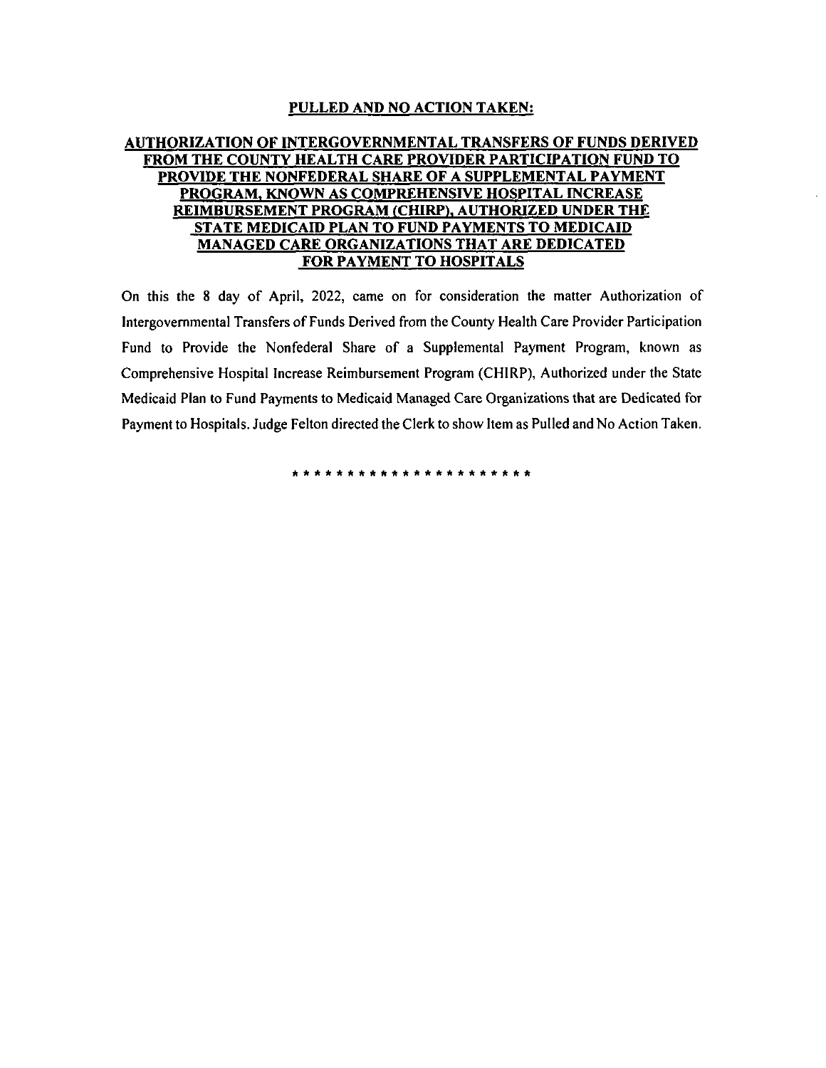#### PULLED AND NO ACTION TAKEN:

#### AUTHORIZATION OF INTERGOVERNMENTAL TRANSFERS OF FUNDS DERIVED FROM THE COUNTY HEALTH CARE PROVIDER PARTICIPATION FUND TO PROVIDE THE NONFEDERAL SHARE OF A SUPPLEMENTAL PAYMENT PROGRAM, KNOWN AS COMPREHENSIVE HOSPITAL INCREASE REIMBURSEMENT PROGRAM (CHIRP), AUTHORIZED UNDER THE STATE MEDICAID PLAN TO FUND PAYMENTS TO MEDICAID MANAGED CARE ORGANIZATIONS THAT ARE DEDICATED FOR PAYMENT TO HOSPITALS

On this the 8 day of April, 2022, came on for consideration the matter Authorization of Intergovernmental Transfers of Funds Derived from the County Health Care Provider Participation Fund to Provide the Nonfederal Share of a Supplemental Payment Program, known as Comprehensive Hospital Increase Reimbursement Program ( CHIRP), Authorized under the State Medicaid Plan to Fund Payments to Medicaid Managed Care Organizations that are Dedicated for Payment to Hospitals. Judge Felton directed the Clerk to show Item as Pulled and No Action Taken.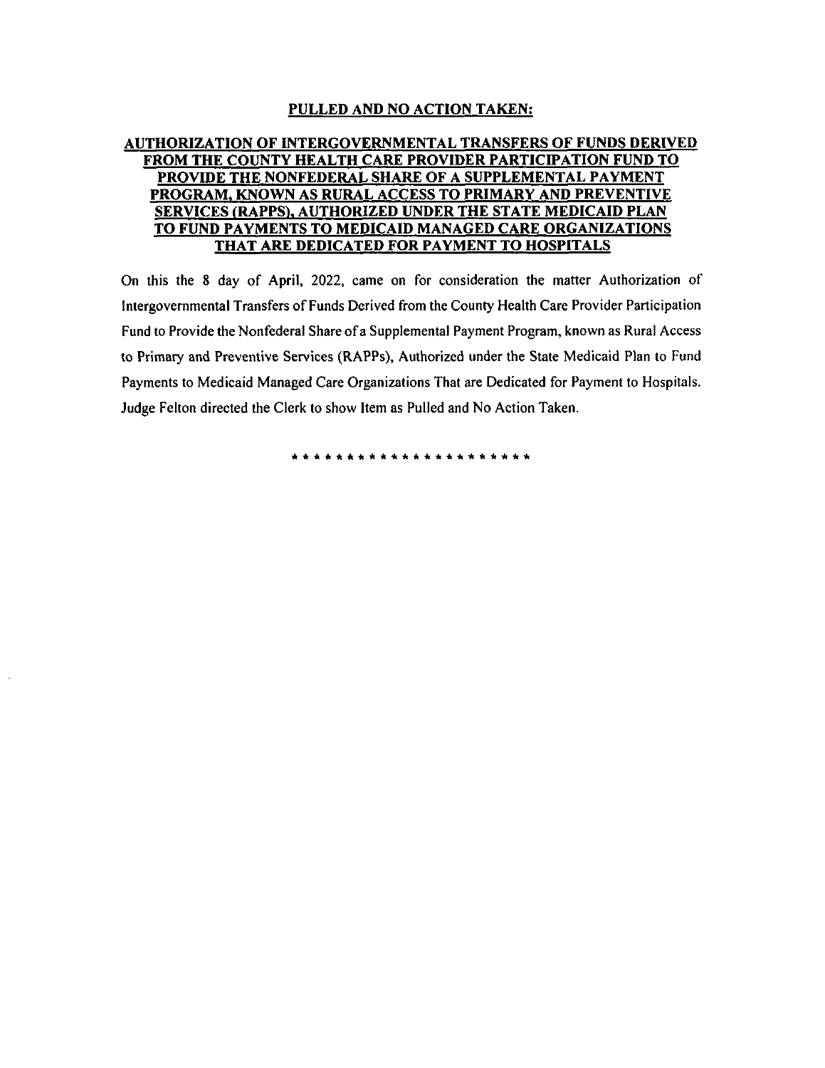#### PULLED AND NO ACTION TAKEN:

#### AUTHORIZATION OF INTERGOVERNMENTAL TRANSFERS OF FUNDS DERIVED FROM THE COUNTY HEALTH CARE PROVIDER PARTICIPATION FUND TO PROVIDE THE NONFEDERAL SHARE OF A SUPPLEMENTAL PAYMENT PROGRAM, KNOWN AS RURAL ACCESS TO PRIMARY AND PREVENTIVE SERVICES( RAPPS), AUTHORIZED UNDER THE STATE MEDICAID PLAN TO FUND PAYMENTS TO MEDICAID MANAGED CARE ORGANIZATIONS THAT ARE DEDICATED FOR PAYMENT TO HOSPITALS

On this the 8 day of April, 2022, came on for consideration the matter Authorization of Intergovernmental Transfers of Funds Derived from the County Health Care Provider Participation Fund to Provide the Nonfederal Share of a Supplemental Payment Program, known as Rural Access to Primary and Preventive Services (RAPPs), Authorized under the State Medicaid Plan to Fund Payments to Medicaid Managed Care Organizations That are Dedicated for Payment to Hospitals. Judge Felton directed the Clerk to show Item as Pulled and No Action Taken.